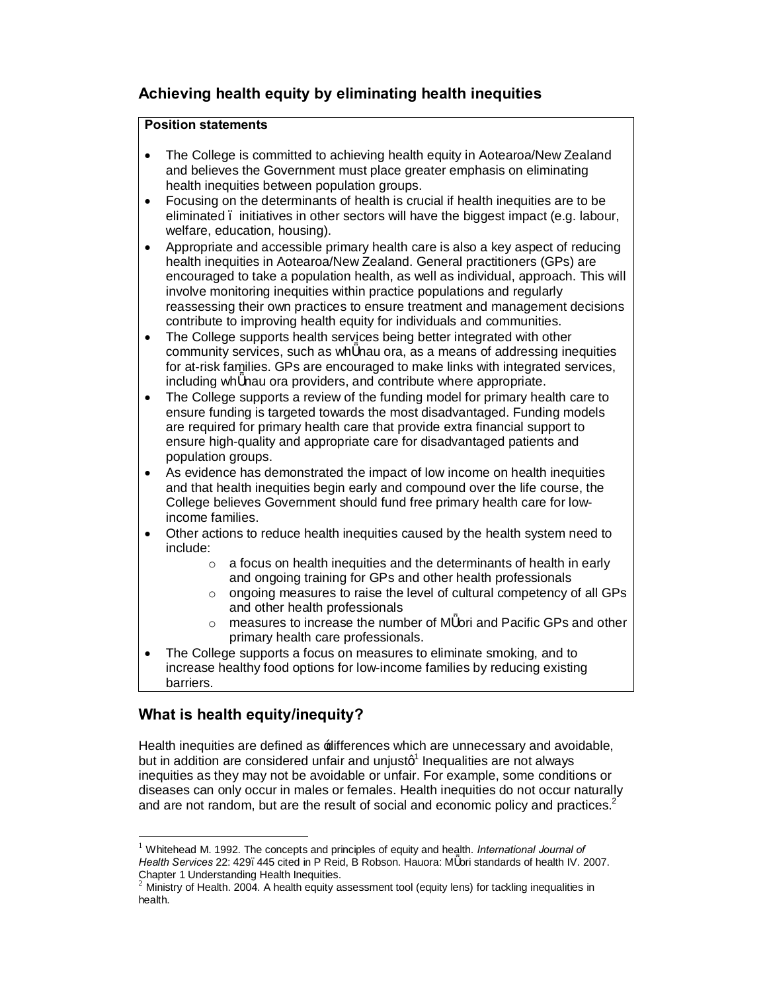# **Achieving health equity by eliminating health inequities**

# **Position statements**

- · The College is committed to achieving health equity in Aotearoa/New Zealand and believes the Government must place greater emphasis on eliminating health inequities between population groups.
- · Focusing on the determinants of health is crucial if health inequities are to be eliminated – initiatives in other sectors will have the biggest impact (e.g. labour, welfare, education, housing).
- · Appropriate and accessible primary health care is also a key aspect of reducing health inequities in Aotearoa/New Zealand. General practitioners (GPs) are encouraged to take a population health, as well as individual, approach. This will involve monitoring inequities within practice populations and regularly reassessing their own practices to ensure treatment and management decisions contribute to improving health equity for individuals and communities.
- · The College supports health services being better integrated with other community services, such as wh nau ora, as a means of addressing inequities for at-risk families. GPs are encouraged to make links with integrated services, including wh nau ora providers, and contribute where appropriate.
- The College supports a review of the funding model for primary health care to ensure funding is targeted towards the most disadvantaged. Funding models are required for primary health care that provide extra financial support to ensure high-quality and appropriate care for disadvantaged patients and population groups.
- As evidence has demonstrated the impact of low income on health inequities and that health inequities begin early and compound over the life course, the College believes Government should fund free primary health care for lowincome families.
- · Other actions to reduce health inequities caused by the health system need to include:
	- $\circ$  a focus on health inequities and the determinants of health in early and ongoing training for GPs and other health professionals
	- o ongoing measures to raise the level of cultural competency of all GPs and other health professionals
	- o measures to increase the number of M ori and Pacific GPs and other primary health care professionals.
- The College supports a focus on measures to eliminate smoking, and to increase healthy food options for low-income families by reducing existing barriers.

# **What is health equity/inequity?**

Health inequities are defined as  $\pm$  differences which are unnecessary and avoidable, but in addition are considered unfair and unjustq $^1$  Inequalities are not always inequities as they may not be avoidable or unfair. For example, some conditions or diseases can only occur in males or females. Health inequities do not occur naturally and are not random, but are the result of social and economic policy and practices.<sup>2</sup>

 <sup>1</sup> Whitehead M. 1992. The concepts and principles of equity and health. *International Journal of* Health Services 22: 429. 445 cited in P Reid, B Robson. Hauora: M ori standards of health IV. 2007.<br>Chapter 1 Understanding Health Inequities.

Ministry of Health. 2004. A health equity assessment tool (equity lens) for tackling inequalities in health.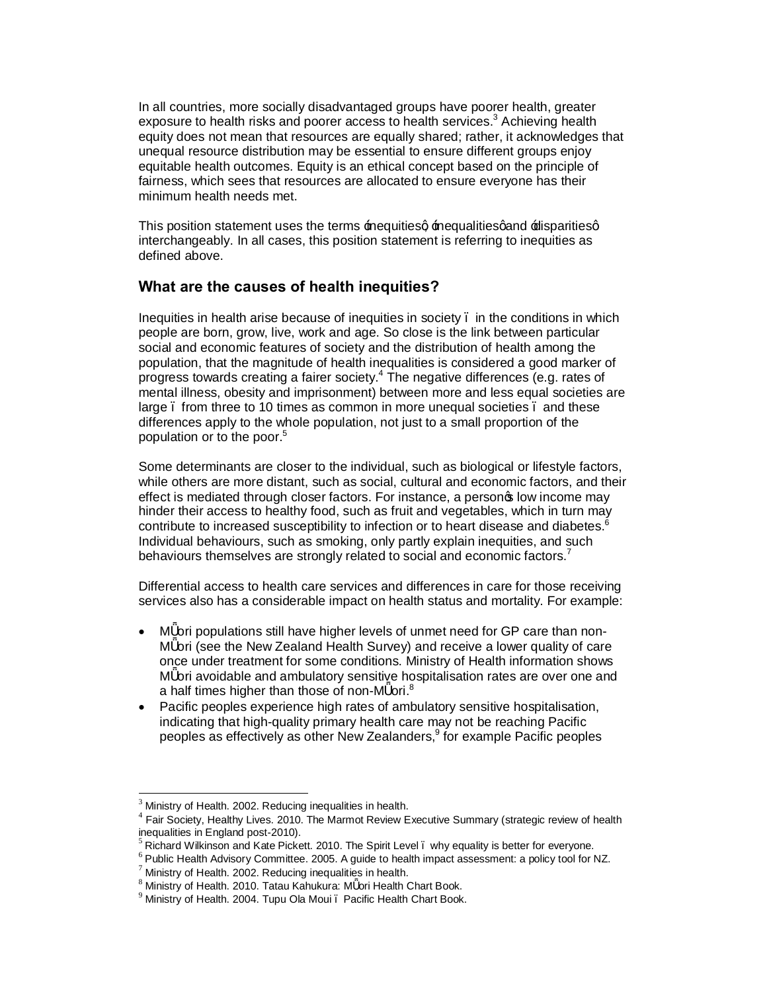In all countries, more socially disadvantaged groups have poorer health, greater exposure to health risks and poorer access to health services.<sup>3</sup> Achieving health equity does not mean that resources are equally shared; rather, it acknowledges that unequal resource distribution may be essential to ensure different groups enjoy equitable health outcomes. Equity is an ethical concept based on the principle of fairness, which sees that resources are allocated to ensure everyone has their minimum health needs met.

This position statement uses the terms inequities inequalities and relisparities q interchangeably. In all cases, this position statement is referring to inequities as defined above.

## **What are the causes of health inequities?**

Inequities in health arise because of inequities in society – in the conditions in which people are born, grow, live, work and age. So close is the link between particular social and economic features of society and the distribution of health among the population, that the magnitude of health inequalities is considered a good marker of progress towards creating a fairer society.<sup>4</sup> The negative differences (e.g. rates of mental illness, obesity and imprisonment) between more and less equal societies are large . from three to 10 times as common in more unequal societies . and these differences apply to the whole population, not just to a small proportion of the population or to the poor.<sup>5</sup>

Some determinants are closer to the individual, such as biological or lifestyle factors, while others are more distant, such as social, cultural and economic factors, and their effect is mediated through closer factors. For instance, a personos low income may hinder their access to healthy food, such as fruit and vegetables, which in turn may contribute to increased susceptibility to infection or to heart disease and diabetes.<sup>6</sup> Individual behaviours, such as smoking, only partly explain inequities, and such behaviours themselves are strongly related to social and economic factors.<sup>7</sup>

Differential access to health care services and differences in care for those receiving services also has a considerable impact on health status and mortality. For example:

- · M ori populations still have higher levels of unmet need for GP care than non-M ori (see the New Zealand Health Survey) and receive a lower quality of care once under treatment for some conditions. Ministry of Health information shows M ori avoidable and ambulatory sensitive hospitalisation rates are over one and a half times higher than those of non-M ori.<sup>8</sup>
- · Pacific peoples experience high rates of ambulatory sensitive hospitalisation, indicating that high-quality primary health care may not be reaching Pacific peoples as effectively as other New Zealanders, $9$  for example Pacific peoples

 $3$  Ministry of Health. 2002. Reducing inequalities in health.<br> $4$  Fair Society, Healthy Lives. 2010. The Marmot Review Executive Summary (strategic review of health

inequalities in England post-2010).<br>
<sup>5</sup> Richard Wilkinson and Kate Pickett. 2010. The Spirit Level . why equality is better for everyone.<br>
<sup>6</sup> Public Health Advisory Committee. 2005. A guide to health impact assessment: a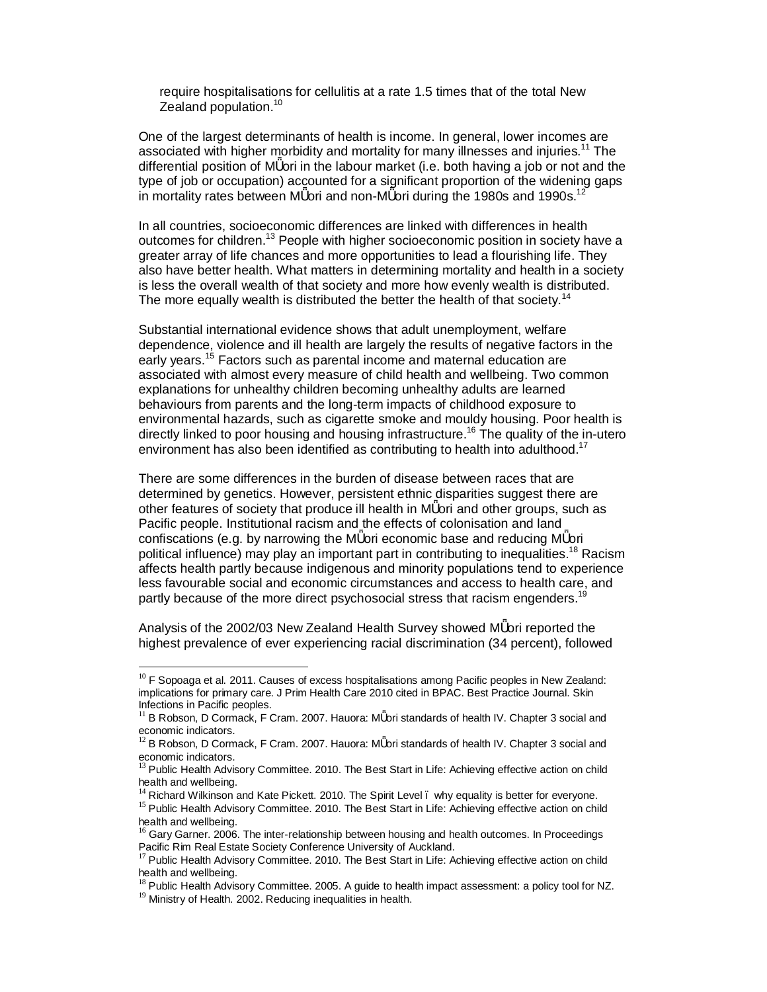require hospitalisations for cellulitis at a rate 1.5 times that of the total New Zealand population.<sup>10</sup>

One of the largest determinants of health is income. In general, lower incomes are associated with higher morbidity and mortality for many illnesses and injuries.<sup>11</sup> The differential position of M ori in the labour market (i.e. both having a job or not and the type of job or occupation) accounted for a significant proportion of the widening gaps in mortality rates between M ori and non-M ori during the 1980s and 1990s.<sup>12</sup>

In all countries, socioeconomic differences are linked with differences in health outcomes for children.<sup>13</sup> People with higher socioeconomic position in society have a greater array of life chances and more opportunities to lead a flourishing life. They also have better health. What matters in determining mortality and health in a society is less the overall wealth of that society and more how evenly wealth is distributed. The more equally wealth is distributed the better the health of that society.<sup>14</sup>

Substantial international evidence shows that adult unemployment, welfare dependence, violence and ill health are largely the results of negative factors in the early years.<sup>15</sup> Factors such as parental income and maternal education are associated with almost every measure of child health and wellbeing. Two common explanations for unhealthy children becoming unhealthy adults are learned behaviours from parents and the long-term impacts of childhood exposure to environmental hazards, such as cigarette smoke and mouldy housing. Poor health is directly linked to poor housing and housing infrastructure.<sup>16</sup> The quality of the in-utero environment has also been identified as contributing to health into adulthood.<sup>17</sup>

There are some differences in the burden of disease between races that are determined by genetics. However, persistent ethnic disparities suggest there are other features of society that produce ill health in M ori and other groups, such as Pacific people. Institutional racism and the effects of colonisation and land confiscations (e.g. by narrowing the M ori economic base and reducing M ori political influence) may play an important part in contributing to inequalities.<sup>18</sup> Racism affects health partly because indigenous and minority populations tend to experience less favourable social and economic circumstances and access to health care, and partly because of the more direct psychosocial stress that racism engenders.<sup>1</sup>

Analysis of the 2002/03 New Zealand Health Survey showed M ori reported the highest prevalence of ever experiencing racial discrimination (34 percent), followed

 $10$  F Sopoaga et al. 2011. Causes of excess hospitalisations among Pacific peoples in New Zealand: implications for primary care. J Prim Health Care 2010 cited in BPAC. Best Practice Journal. Skin Infections in Pacific peoples.

 $11$  B Robson, D Cormack, F Cram. 2007. Hauora: M ori standards of health IV. Chapter 3 social and economic indicators.<br><sup>12</sup> B Robson, D Cormack, F Cram. 2007. Hauora: M ori standards of health IV. Chapter 3 social and

economic indicators.<br><sup>13</sup> Public Health Advisory Committee. 2010. The Best Start in Life: Achieving effective action on child

health and wellbeing.

Richard Wilkinson and Kate Pickett. 2010. The Spirit Level . why equality is better for everyone.

<sup>&</sup>lt;sup>15</sup> Public Health Advisory Committee. 2010. The Best Start in Life: Achieving effective action on child health and wellbeing.

<sup>&</sup>lt;sup>16</sup> Gary Garner. 2006. The inter-relationship between housing and health outcomes. In Proceedings<br>Pacific Rim Real Estate Society Conference University of Auckland.

 $17$  Public Health Advisory Committee. 2010. The Best Start in Life: Achieving effective action on child health and wellbeing.

 $^{18}$  Public Health Advisory Committee. 2005. A guide to health impact assessment: a policy tool for NZ.  $^{19}$  Ministry of Health. 2002. Reducing inequalities in health.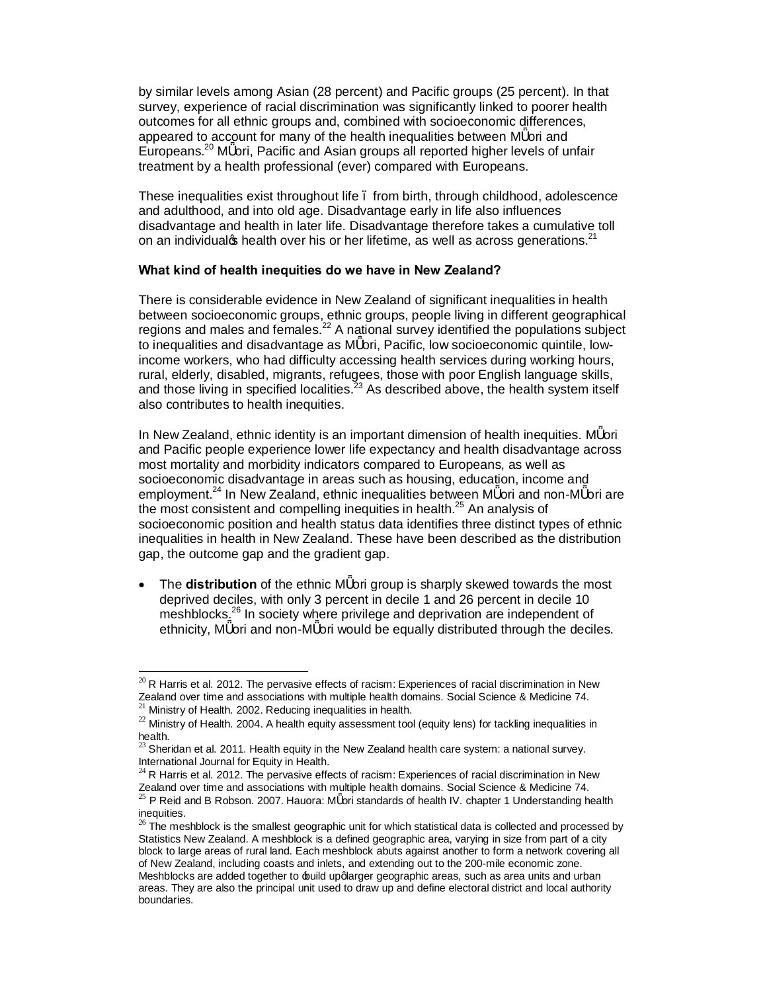by similar levels among Asian (28 percent) and Pacific groups (25 percent). In that survey, experience of racial discrimination was significantly linked to poorer health outcomes for all ethnic groups and, combined with socioeconomic differences, appeared to account for many of the health inequalities between M ori and Europeans.<sup>20</sup> M ori, Pacific and Asian groups all reported higher levels of unfair treatment by a health professional (ever) compared with Europeans.

These inequalities exist throughout life – from birth, through childhood, adolescence and adulthood, and into old age. Disadvantage early in life also influences disadvantage and health in later life. Disadvantage therefore takes a cumulative toll on an individual  $\boldsymbol{\mathfrak{s}}$  health over his or her lifetime, as well as across generations.<sup>21</sup>

#### **What kind of health inequities do we have in New Zealand?**

There is considerable evidence in New Zealand of significant inequalities in health between socioeconomic groups, ethnic groups, people living in different geographical regions and males and females.<sup>22</sup> A national survey identified the populations subject to inequalities and disadvantage as M ori, Pacific, low socioeconomic quintile, lowincome workers, who had difficulty accessing health services during working hours, rural, elderly, disabled, migrants, refugees, those with poor English language skills, and those living in specified localities.<sup>23</sup> As described above, the health system itself also contributes to health inequities.

In New Zealand, ethnic identity is an important dimension of health inequities. M ori and Pacific people experience lower life expectancy and health disadvantage across most mortality and morbidity indicators compared to Europeans, as well as socioeconomic disadvantage in areas such as housing, education, income and employment.<sup>24</sup> In New Zealand, ethnic inequalities between M ori and non-M ori are the most consistent and compelling inequities in health.<sup>25</sup> An analysis of socioeconomic position and health status data identifies three distinct types of ethnic inequalities in health in New Zealand. These have been described as the distribution gap, the outcome gap and the gradient gap.

The **distribution** of the ethnic M ori group is sharply skewed towards the most deprived deciles, with only 3 percent in decile 1 and 26 percent in decile 10 meshblocks. <sup>26</sup> In society where privilege and deprivation are independent of ethnicity, M ori and non-M ori would be equally distributed through the deciles.

 $^{20}$  R Harris et al. 2012. The pervasive effects of racism: Experiences of racial discrimination in New Zealand over time and associations with multiple health domains. Social Science & Medicine 74. <sup>21</sup> Ministry of Health. 2002. Reducing inequalities in health.

 $^{22}$  Ministry of Health. 2004. A health equity assessment tool (equity lens) for tackling inequalities in

health.

Sheridan et al. 2011. Health equity in the New Zealand health care system: a national survey. International Journal for Equity in Health.<br><sup>24</sup> R Harris et al. 2012. The pervasive effects of racism: Experiences of racial discrimination in New

Zealand over time and associations with multiple health domains. Social Science & Medicine 74.  $^{25}$  P Reid and B Robson. 2007. Hauora: M ori standards of health IV. chapter 1 Understanding health

inequities.<br> $^{26}$  The meshblock is the smallest geographic unit for which statistical data is collected and processed by Statistics New Zealand. A meshblock is a defined geographic area, varying in size from part of a city block to large areas of rural land. Each meshblock abuts against another to form a network covering all of New Zealand, including coasts and inlets, and extending out to the 200-mile economic zone. Meshblocks are added together to build upqlarger geographic areas, such as area units and urban areas. They are also the principal unit used to draw up and define electoral district and local authority boundaries.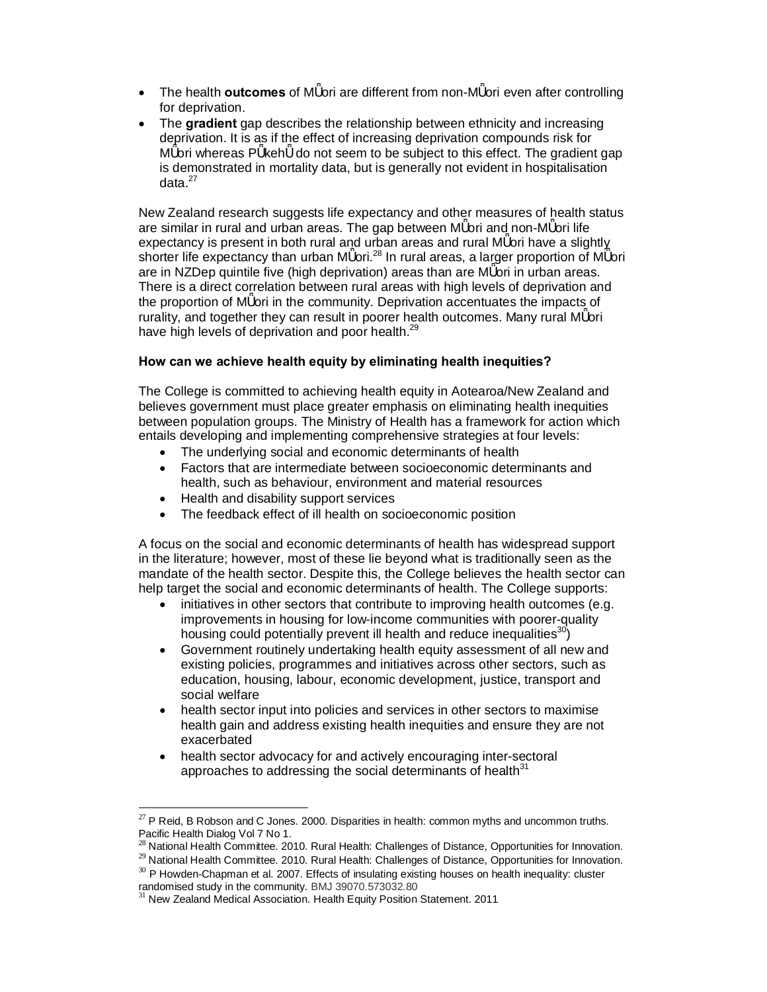- · The health **outcomes** of M ori are different from non-M ori even after controlling for deprivation.
- · The **gradient** gap describes the relationship between ethnicity and increasing deprivation. It is as if the effect of increasing deprivation compounds risk for M ori whereas P keh do not seem to be subject to this effect. The gradient gap is demonstrated in mortality data, but is generally not evident in hospitalisation data $27$

New Zealand research suggests life expectancy and other measures of health status are similar in rural and urban areas. The gap between M ori and non-M ori life expectancy is present in both rural and urban areas and rural M ori have a slightly shorter life expectancy than urban M ori.<sup>28</sup> In rural areas, a larger proportion of M ori are in NZDep quintile five (high deprivation) areas than are M ori in urban areas. There is a direct correlation between rural areas with high levels of deprivation and the proportion of M ori in the community. Deprivation accentuates the impacts of rurality, and together they can result in poorer health outcomes. Many rural M ori have high levels of deprivation and poor health.<sup>29</sup>

### **How can we achieve health equity by eliminating health inequities?**

The College is committed to achieving health equity in Aotearoa/New Zealand and believes government must place greater emphasis on eliminating health inequities between population groups. The Ministry of Health has a framework for action which entails developing and implementing comprehensive strategies at four levels:

- · The underlying social and economic determinants of health
- · Factors that are intermediate between socioeconomic determinants and health, such as behaviour, environment and material resources
- · Health and disability support services
- The feedback effect of ill health on socioeconomic position

A focus on the social and economic determinants of health has widespread support in the literature; however, most of these lie beyond what is traditionally seen as the mandate of the health sector. Despite this, the College believes the health sector can help target the social and economic determinants of health. The College supports:

- initiatives in other sectors that contribute to improving health outcomes (e.g. improvements in housing for low-income communities with poorer-quality housing could potentially prevent ill health and reduce inequalities<sup>30</sup>)
- Government routinely undertaking health equity assessment of all new and existing policies, programmes and initiatives across other sectors, such as education, housing, labour, economic development, justice, transport and social welfare
- health sector input into policies and services in other sectors to maximise health gain and address existing health inequities and ensure they are not exacerbated
- health sector advocacy for and actively encouraging inter-sectoral approaches to addressing the social determinants of health $31$

<sup>&</sup>lt;sup>27</sup> P Reid, B Robson and C Jones. 2000. Disparities in health: common myths and uncommon truths.<br>Pacific Health Dialog Vol 7 No 1.

 $^{28}$  National Health Committee. 2010. Rural Health: Challenges of Distance, Opportunities for Innovation.

<sup>&</sup>lt;sup>29</sup> National Health Committee. 2010. Rural Health: Challenges of Distance, Opportunities for Innovation.<br><sup>30</sup> P Howden-Chapman et al. 2007. Effects of insulating existing houses on health inequality: cluster

randomised study in the community. BMJ 39070.573032.80<br><sup>31</sup> New Zealand Medical Association. Health Equity Position Statement. 2011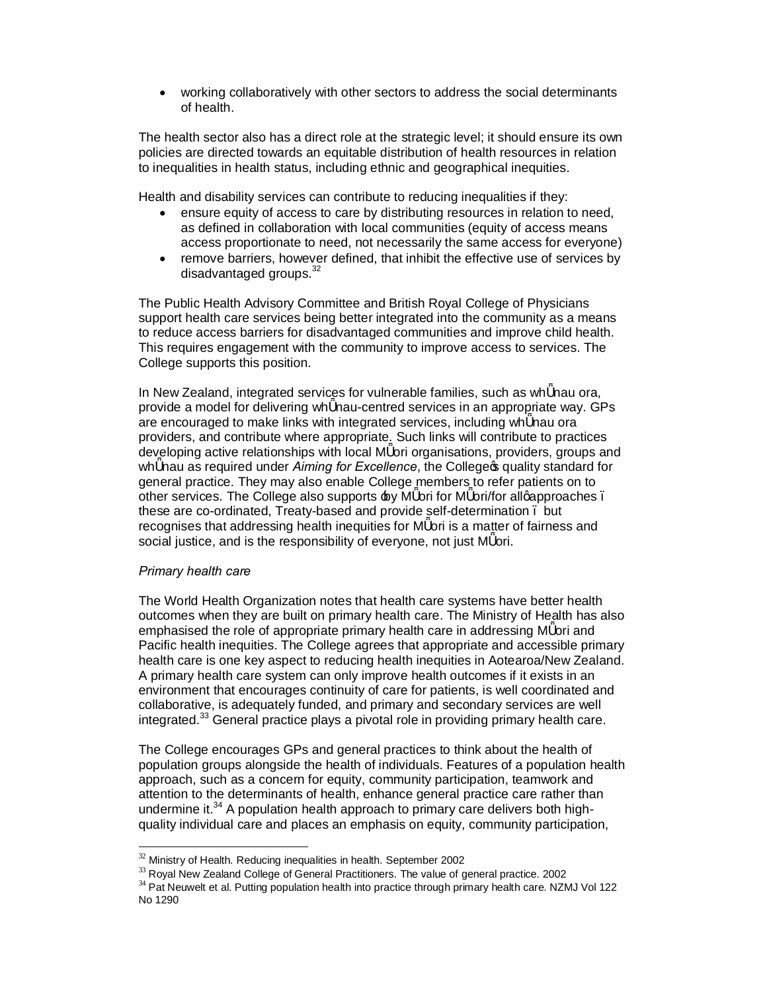· working collaboratively with other sectors to address the social determinants of health.

The health sector also has a direct role at the strategic level; it should ensure its own policies are directed towards an equitable distribution of health resources in relation to inequalities in health status, including ethnic and geographical inequities.

Health and disability services can contribute to reducing inequalities if they:

- ensure equity of access to care by distributing resources in relation to need, as defined in collaboration with local communities (equity of access means access proportionate to need, not necessarily the same access for everyone)
- · remove barriers, however defined, that inhibit the effective use of services by disadvantaged groups.<sup>32</sup>

The Public Health Advisory Committee and British Royal College of Physicians support health care services being better integrated into the community as a means to reduce access barriers for disadvantaged communities and improve child health. This requires engagement with the community to improve access to services. The College supports this position.

In New Zealand, integrated services for vulnerable families, such as wh nau ora, provide a model for delivering wh nau-centred services in an appropriate way. GPs are encouraged to make links with integrated services, including wh nau ora providers, and contribute where appropriate. Such links will contribute to practices developing active relationships with local M ori organisations, providers, groups and wh nau as required under *Aiming for Excellence*, the College was quality standard for general practice*.* They may also enable College members to refer patients on to other services. The College also supports  $\pm$ y M ori for M ori/for allgapproaches. these are co-ordinated, Treaty-based and provide self-determination – but recognises that addressing health inequities for M ori is a matter of fairness and social justice, and is the responsibility of everyone, not just M ori.

## *Primary health care*

The World Health Organization notes that health care systems have better health outcomes when they are built on primary health care. The Ministry of Health has also emphasised the role of appropriate primary health care in addressing M ori and Pacific health inequities. The College agrees that appropriate and accessible primary health care is one key aspect to reducing health inequities in Aotearoa/New Zealand. A primary health care system can only improve health outcomes if it exists in an environment that encourages continuity of care for patients, is well coordinated and collaborative, is adequately funded, and primary and secondary services are well integrated.<sup>33</sup> General practice plays a pivotal role in providing primary health care.

The College encourages GPs and general practices to think about the health of population groups alongside the health of individuals. Features of a population health approach, such as a concern for equity, community participation, teamwork and attention to the determinants of health, enhance general practice care rather than undermine it. $34$  A population health approach to primary care delivers both highquality individual care and places an emphasis on equity, community participation,

 $^{32}$  Ministry of Health. Reducing inequalities in health. September 2002<br> $^{33}$  Royal New Zealand College of General Practitioners. The value of general practice. 2002<br> $^{34}$  Pat Neuwelt et al. Putting population health No 1290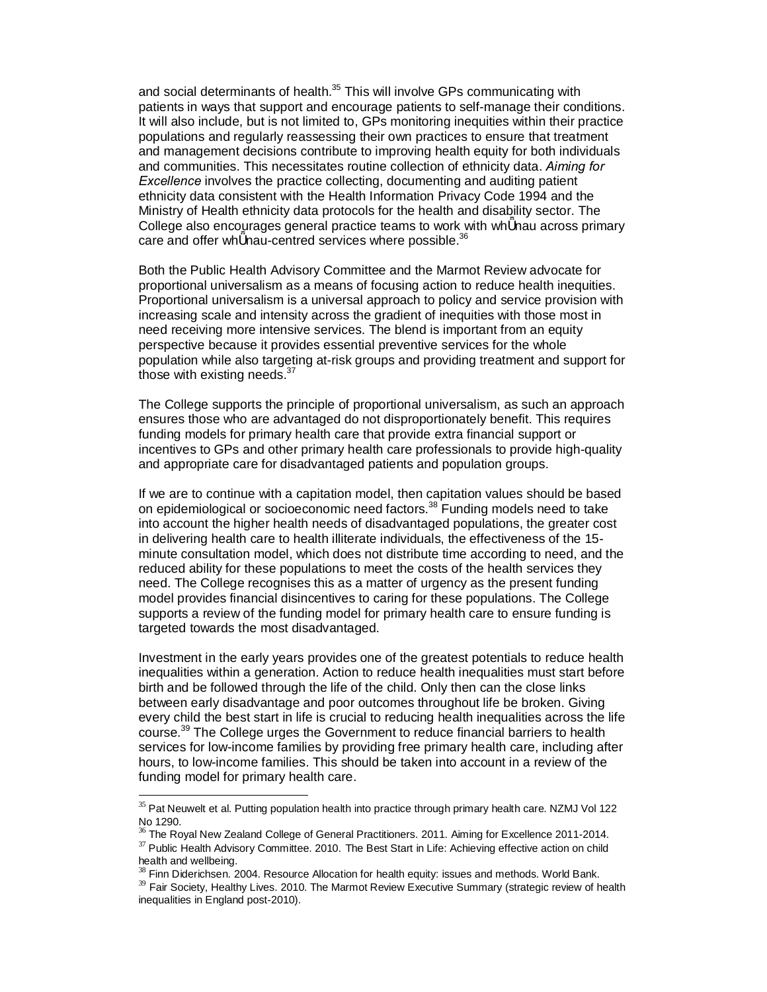and social determinants of health.<sup>35</sup> This will involve GPs communicating with patients in ways that support and encourage patients to self-manage their conditions. It will also include, but is not limited to, GPs monitoring inequities within their practice populations and regularly reassessing their own practices to ensure that treatment and management decisions contribute to improving health equity for both individuals and communities. This necessitates routine collection of ethnicity data. *Aiming for Excellence* involves the practice collecting, documenting and auditing patient ethnicity data consistent with the Health Information Privacy Code 1994 and the Ministry of Health ethnicity data protocols for the health and disability sector. The College also encourages general practice teams to work with wh nau across primary care and offer wh nau-centred services where possible.<sup>36</sup>

Both the Public Health Advisory Committee and the Marmot Review advocate for proportional universalism as a means of focusing action to reduce health inequities. Proportional universalism is a universal approach to policy and service provision with increasing scale and intensity across the gradient of inequities with those most in need receiving more intensive services. The blend is important from an equity perspective because it provides essential preventive services for the whole population while also targeting at-risk groups and providing treatment and support for those with existing needs.<sup>37</sup>

The College supports the principle of proportional universalism, as such an approach ensures those who are advantaged do not disproportionately benefit. This requires funding models for primary health care that provide extra financial support or incentives to GPs and other primary health care professionals to provide high-quality and appropriate care for disadvantaged patients and population groups.

If we are to continue with a capitation model, then capitation values should be based on epidemiological or socioeconomic need factors.<sup>38</sup> Funding models need to take into account the higher health needs of disadvantaged populations, the greater cost in delivering health care to health illiterate individuals, the effectiveness of the 15 minute consultation model, which does not distribute time according to need, and the reduced ability for these populations to meet the costs of the health services they need. The College recognises this as a matter of urgency as the present funding model provides financial disincentives to caring for these populations. The College supports a review of the funding model for primary health care to ensure funding is targeted towards the most disadvantaged.

Investment in the early years provides one of the greatest potentials to reduce health inequalities within a generation. Action to reduce health inequalities must start before birth and be followed through the life of the child. Only then can the close links between early disadvantage and poor outcomes throughout life be broken. Giving every child the best start in life is crucial to reducing health inequalities across the life course.<sup>39</sup> The College urges the Government to reduce financial barriers to health services for low-income families by providing free primary health care, including after hours, to low-income families. This should be taken into account in a review of the funding model for primary health care.

 $35$  Pat Neuwelt et al. Putting population health into practice through primary health care. NZMJ Vol 122<br>No 1290.

<sup>&</sup>lt;sup>36</sup> The Royal New Zealand College of General Practitioners. 2011. Aiming for Excellence 2011-2014.  $37$  Public Health Advisory Committee. 2010. The Best Start in Life: Achieving effective action on child health and wellb

 $\frac{38}{3}$  Finn Diderichsen. 2004. Resource Allocation for health equity: issues and methods. World Bank.  $\frac{39}{2}$  Fair Society, Healthy Lives. 2010. The Marmot Review Executive Summary (strategic review of health inequalities in England post-2010).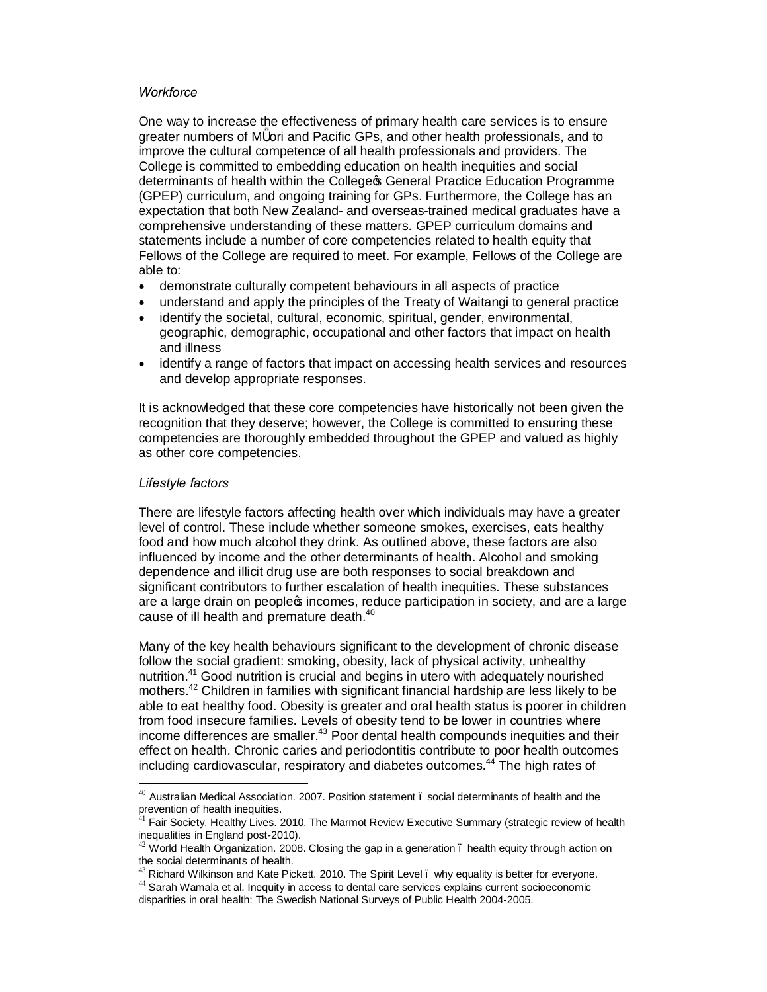#### *Workforce*

One way to increase the effectiveness of primary health care services is to ensure greater numbers of M ori and Pacific GPs, and other health professionals, and to improve the cultural competence of all health professionals and providers. The College is committed to embedding education on health inequities and social determinants of health within the College **General Practice Education Programme** (GPEP) curriculum, and ongoing training for GPs. Furthermore, the College has an expectation that both New Zealand- and overseas-trained medical graduates have a comprehensive understanding of these matters. GPEP curriculum domains and statements include a number of core competencies related to health equity that Fellows of the College are required to meet. For example, Fellows of the College are able to:

- · demonstrate culturally competent behaviours in all aspects of practice
- · understand and apply the principles of the Treaty of Waitangi to general practice
- identify the societal, cultural, economic, spiritual, gender, environmental, geographic, demographic, occupational and other factors that impact on health and illness
- · identify a range of factors that impact on accessing health services and resources and develop appropriate responses.

It is acknowledged that these core competencies have historically not been given the recognition that they deserve; however, the College is committed to ensuring these competencies are thoroughly embedded throughout the GPEP and valued as highly as other core competencies.

### *Lifestyle factors*

There are lifestyle factors affecting health over which individuals may have a greater level of control. These include whether someone smokes, exercises, eats healthy food and how much alcohol they drink. As outlined above, these factors are also influenced by income and the other determinants of health. Alcohol and smoking dependence and illicit drug use are both responses to social breakdown and significant contributors to further escalation of health inequities. These substances are a large drain on peoplec incomes, reduce participation in society, and are a large cause of ill health and premature death.<sup>40</sup>

Many of the key health behaviours significant to the development of chronic disease follow the social gradient: smoking, obesity, lack of physical activity, unhealthy nutrition.41 Good nutrition is crucial and begins in utero with adequately nourished mothers.42 Children in families with significant financial hardship are less likely to be able to eat healthy food. Obesity is greater and oral health status is poorer in children from food insecure families. Levels of obesity tend to be lower in countries where income differences are smaller.<sup>43</sup> Poor dental health compounds inequities and their effect on health. Chronic caries and periodontitis contribute to poor health outcomes including cardiovascular, respiratory and diabetes outcomes. <sup>44</sup> The high rates of

 $40$  Australian Medical Association. 2007. Position statement  $\ldots$  social determinants of health and the prevention of health inequities.

Fair Society, Healthy Lives. 2010. The Marmot Review Executive Summary (strategic review of health inequalities in England post-2010).<br><sup>42</sup> World Health Organization. 2008. Closing the gap in a generation . health equity through action on

the social determinants of health.<br><sup>43</sup> Richard Wilkinson and Kate Pickett. 2010. The Spirit Level . why equality is better for everyone.

 $44$  Sarah Wamala et al. Inequity in access to dental care services explains current socioeconomic disparities in oral health: The Swedish National Surveys of Public Health 2004-2005.